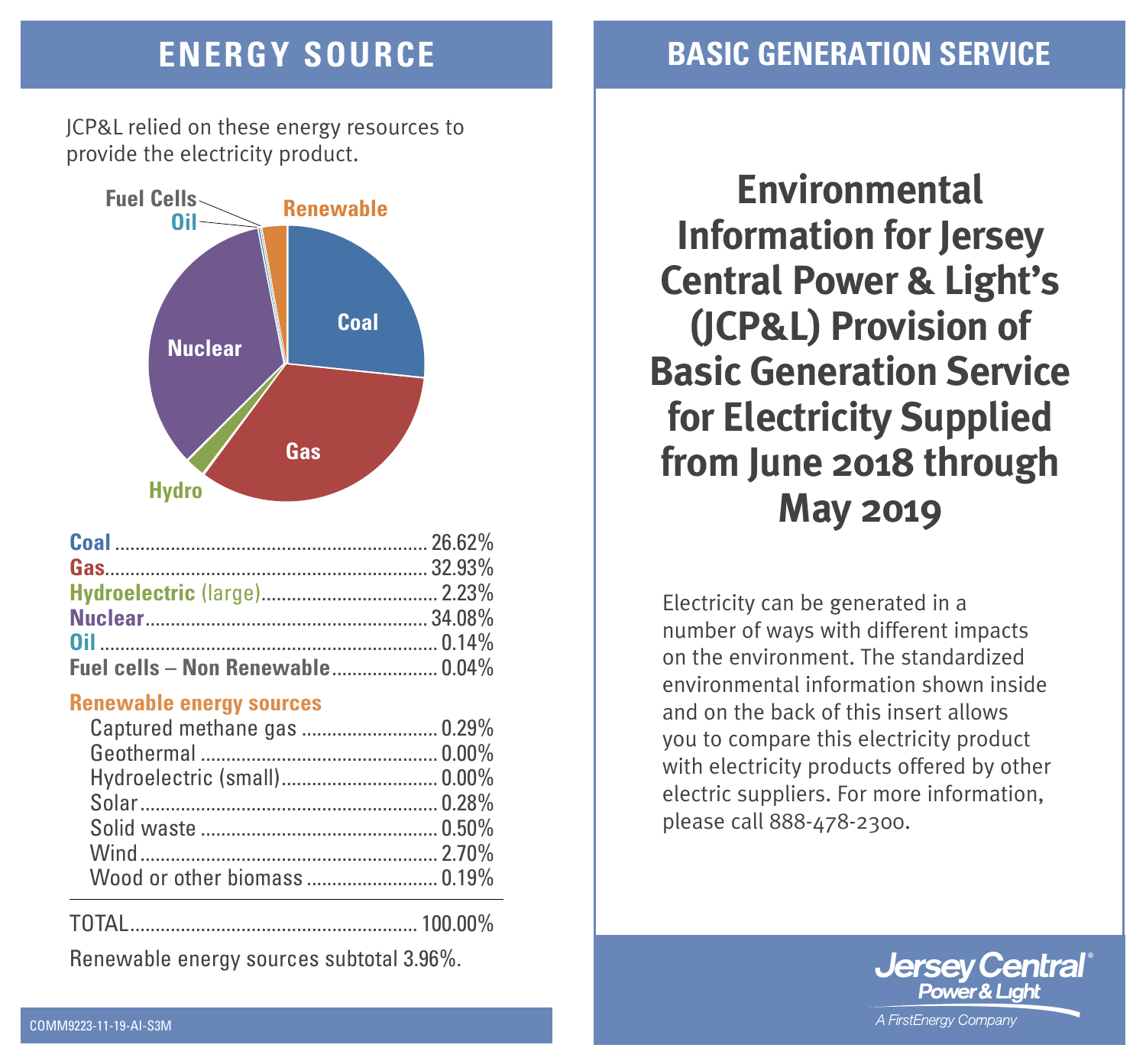JCP&L relied on these energy resources to provide the electricity product.



| Fuel cells - Non Renewable 0.04% |  |
|----------------------------------|--|

### **Renewable energy sources**

| Captured methane gas  0.29% |  |
|-----------------------------|--|
|                             |  |
|                             |  |
|                             |  |
|                             |  |
|                             |  |
|                             |  |

TOTAL......................................................... 100.00%

Renewable energy sources subtotal 3.96%.

# **ENERGY SOURCE BASIC GENERATION SERVICE**

**Environmental Information for Jersey Central Power & Light's (JCP&L) Provision of Basic Generation Service for Electricity Supplied from June 2018 through May 2019**

Electricity can be generated in a number of ways with different impacts on the environment. The standardized environmental information shown inside and on the back of this insert allows you to compare this electricity product with electricity products offered by other electric suppliers. For more information, please call 888-478-2300.